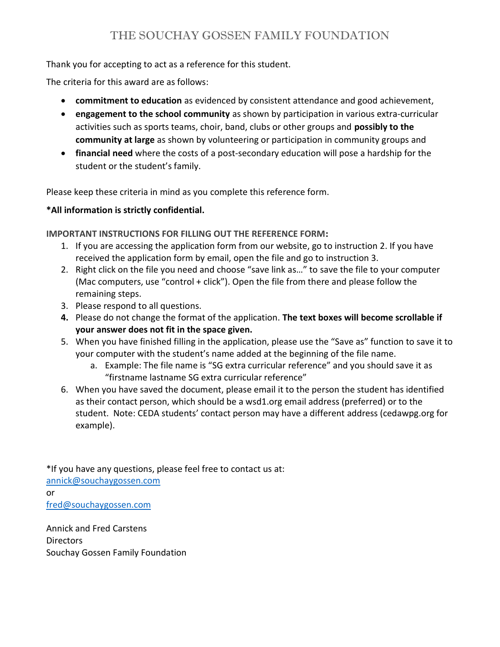## Thank you for accepting to act as a reference for this student.

The criteria for this award are as follows:

- **commitment to education** as evidenced by consistent attendance and good achievement,
- engagement to the school community as shown by participation in various extra-curricular activities such as sports teams, choir, band, clubs or other groups and possibly to the community at large as shown by volunteering or participation in community groups and
- financial need where the costs of a post-secondary education will pose a hardship for the student or the student's family.

Please keep these criteria in mind as you complete this reference form.

## \*All information is strictly confidential.

IMPORTANT INSTRUCTIONS FOR FILLING OUT THE REFERENCE FORM:

- 1. If you are accessing the application form from our website, go to instruction 2. If you have received the application form by email, open the file and go to instruction 3.
- 2. Right click on the file you need and choose "save link as…" to save the file to your computer (Mac computers, use "control + click"). Open the file from there and please follow the remaining steps.
- 3. Please respond to all questions.
- 4. Please do not change the format of the application. The text boxes will become scrollable if your answer does not fit in the space given.
- 5. When you have finished filling in the application, please use the "Save as" function to save it to your computer with the student's name added at the beginning of the file name.
	- a. Example: The file name is "SG extra curricular reference" and you should save it as "firstname lastname SG extra curricular reference"
- 6. When you have saved the document, please email it to the person the student has identified as their contact person, which should be a wsd1.org email address (preferred) or to the student. Note: CEDA students' contact person may have a different address (cedawpg.org for example).

\*If you have any questions, please feel free to contact us at: annick@souchaygossen.com or fred@souchaygossen.com

Annick and Fred Carstens Directors Souchay Gossen Family Foundation